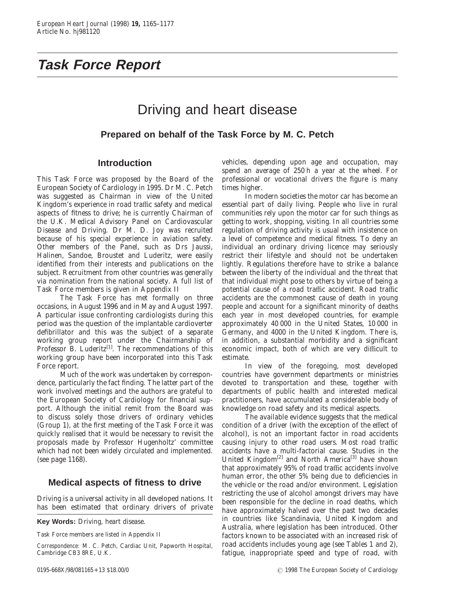# **Task Force Report**

# Driving and heart disease

**Prepared on behalf of the Task Force by M. C. Petch**

# **Introduction**

This Task Force was proposed by the Board of the European Society of Cardiology in 1995. Dr M. C. Petch was suggested as Chairman in view of the United Kingdom's experience in road traffic safety and medical aspects of fitness to drive; he is currently Chairman of the U.K. Medical Advisory Panel on Cardiovascular Disease and Driving. Dr M. D. Joy was recruited because of his special experience in aviation safety. Other members of the Panel, such as Drs Jaussi, Halinen, Sandoe, Broustet and Luderitz, were easily identified from their interests and publications on the subject. Recruitment from other countries was generally via nomination from the national society. A full list of Task Force members is given in Appendix II

The Task Force has met formally on three occasions, in August 1996 and in May and August 1997. A particular issue confronting cardiologists during this period was the question of the implantable cardioverter defibrillator and this was the subject of a separate working group report under the Chairmanship of Professor B. Luderitz<sup>[1]</sup>. The recommendations of this working group have been incorporated into this Task Force report.

Much of the work was undertaken by correspondence, particularly the fact finding. The latter part of the work involved meetings and the authors are grateful to the European Society of Cardiology for financial support. Although the initial remit from the Board was to discuss solely those drivers of ordinary vehicles (Group 1), at the first meeting of the Task Force it was quickly realised that it would be necessary to revisit the proposals made by Professor Hugenholtz' committee which had not been widely circulated and implemented. (see page 1168).

# **Medical aspects of fitness to drive**

Driving is a universal activity in all developed nations. It has been estimated that ordinary drivers of private

**Key Words:** Driving, heart disease.

Task Force members are listed in Appendix II

vehicles, depending upon age and occupation, may spend an average of 250 h a year at the wheel. For professional or vocational drivers the figure is many times higher.

In modern societies the motor car has become an essential part of daily living. People who live in rural communities rely upon the motor car for such things as getting to work, shopping, visiting. In all countries some regulation of driving activity is usual with insistence on a level of competence and medical fitness. To deny an individual an ordinary driving licence may seriously restrict their lifestyle and should not be undertaken lightly. Regulations therefore have to strike a balance between the liberty of the individual and the threat that that individual might pose to others by virtue of being a potential cause of a road traffic accident. Road traffic accidents are the commonest cause of death in young people and account for a significant minority of deaths each year in most developed countries, for example approximately 40 000 in the United States, 10 000 in Germany, and 4000 in the United Kingdom. There is, in addition, a substantial morbidity and a significant economic impact, both of which are very difficult to estimate.

In view of the foregoing, most developed countries have government departments or ministries devoted to transportation and these, together with departments of public health and interested medical practitioners, have accumulated a considerable body of knowledge on road safety and its medical aspects.

The available evidence suggests that the medical condition of a driver (with the exception of the effect of alcohol), is not an important factor in road accidents causing injury to other road users. Most road traffic accidents have a multi-factorial cause. Studies in the United Kingdom<sup>[2]</sup> and North America<sup>[3]</sup> have shown that approximately 95% of road traffic accidents involve human error, the other 5% being due to deficiencies in the vehicle or the road and/or environment. Legislation restricting the use of alcohol amongst drivers may have been responsible for the decline in road deaths, which have approximately halved over the past two decades in countries like Scandinavia, United Kingdom and Australia, where legislation has been introduced. Other factors known to be associated with an increased risk of road accidents includes young age (see Tables 1 and 2), fatigue, inappropriate speed and type of road, with

*Correspondence:* M. C. Petch, Cardiac Unit, Papworth Hospital, Cambridge CB3 8RE, U.K.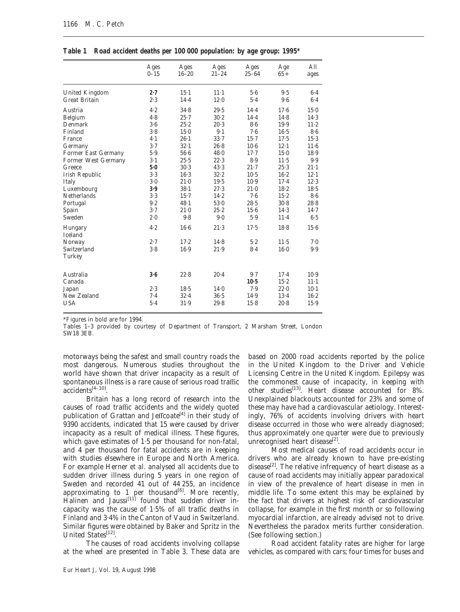|                           | Ages     | Ages      | Ages      | Ages      | Age      | All      |
|---------------------------|----------|-----------|-----------|-----------|----------|----------|
|                           | $0 - 15$ | $16 - 20$ | $21 - 24$ | $25 - 64$ | $65+$    | ages     |
| United Kingdom            | 2.7      | $15 - 1$  | $11-1$    | 5.6       | 9.5      | 6.4      |
| <b>Great Britain</b>      | 2.3      | 14.4      | 12.0      | 5.4       | 9.6      | $6-4$    |
| Austria                   | 4.2      | 34.8      | 29.5      | 14.4      | 17.6     | $15-0$   |
| Belgium                   | 4.8      | $25 - 7$  | 30.2      | 14.4      | 14.8     | 14.3     |
| Denmark                   | 3.6      | $25 - 2$  | 20.3      | 8.6       | 19.9     | $11-2$   |
| Finland                   | 3.8      | $15-0$    | 9.1       | 7.6       | 16.5     | 8.6      |
| France                    | 4.1      | $26 - 1$  | 33.7      | $15 - 7$  | 17.5     | $15-3$   |
| Germany                   | 3.7      | 32.1      | $26 - 8$  | $10-6$    | 12.1     | $11-6$   |
| Former East Germany       | 5.9      | $56-6$    | 48.0      | $17-7$    | $15-0$   | 18.9     |
| Former West Germany       | $3-1$    | 25.5      | 22.3      | 8.9       | 11.5     | 9.9      |
| Greece                    | $5-0$    | 30.3      | 43.3      | 21.7      | 25.3     | $21-1$   |
| Irish Republic            | 3.3      | $16-3$    | 32.2      | 10.5      | $16-2$   | 12.1     |
| Italy                     | $3-0$    | $21 - 0$  | 19.5      | 10.9      | $17-4$   | 12.3     |
| Luxembourg                | 3.9      | $38 - 1$  | 27.3      | $21-0$    | 18.2     | 18.5     |
| Netherlands               | 3.3      | $15-7$    | 14.2      | 7.6       | $15-2$   | 8.6      |
| Portugal                  | 9.2      | 48.1      | 53.0      | 28.5      | 30.8     | 28.8     |
| Spain                     | 3.7      | $21-0$    | $25 - 2$  | $15-6$    | 14.3     | 14.7     |
| Sweden                    | 2.0      | 9.8       | 9.0       | 5.9       | $11-4$   | 6.5      |
| Hungary<br><b>Iceland</b> | 4.2      | $16-6$    | 21.3      | 17.5      | 18.8     | 15.6     |
| Norway                    | 2.7      | $17-2$    | 14.8      | 5.2       | 11.5     | 7.0      |
| Switzerland<br>Turkey     | 3.8      | 16.9      | 21.9      | 8.4       | $16-0$   | 9.9      |
| Australia                 | $3-6$    | 22.8      | 20.4      | 9.7       | 17.4     | 10.9     |
| Canada                    |          |           |           | 10.5      | $15 - 2$ | $11-1$   |
| Japan                     | 2.3      | 18.5      | $14-0$    | 7.9       | 22.0     | $10-1$   |
| New Zealand               | 7.4      | 32.4      | 36.5      | 14.9      | 13.4     | $16 - 2$ |
| <b>USA</b>                | 5.4      | 31.9      | 29.8      | $15-8$    | $20-8$   | 15.9     |

*Table 1 Road accident deaths per 100 000 population: by age group: 1995\**

\*Figures in bold are for 1994.

Tables 1–3 provided by courtesy of Department of Transport, 2 Marsham Street, London SW18 3EB.

motorways being the safest and small country roads the most dangerous. Numerous studies throughout the world have shown that driver incapacity as a result of spontaneous illness is a rare cause of serious road traffic  $accidents^{[4-10]}$ 

Britain has a long record of research into the causes of road traffic accidents and the widely quoted publication of Grattan and Jeffcoate<sup>[4]</sup> in their study of 9390 accidents, indicated that 15 were caused by driver incapacity as a result of medical illness. These figures, which gave estimates of 1·5 per thousand for non-fatal, and 4 per thousand for fatal accidents are in keeping with studies elsewhere in Europe and North America. For example Herner *et al*. analysed all accidents due to sudden driver illness during 5 years in one region of Sweden and recorded 41 out of 44 255, an incidence approximating to 1 per thousand $[6]$ . More recently,  $H$ alinen and Jaussi<sup>[11]</sup> found that sudden driver incapacity was the cause of 1·5% of all traffic deaths in Finland and 3·4% in the Canton of Vaud in Switzerland. Similar figures were obtained by Baker and Spritz in the United States<sup>[12]</sup>

The causes of road accidents involving collapse at the wheel are presented in Table 3. These data are

Eur Heart J, Vol. 19, August 1998

based on 2000 road accidents reported by the police in the United Kingdom to the Driver and Vehicle Licensing Centre in the United Kingdom. Epilepsy was the commonest cause of incapacity, in keeping with other studies<sup>[13]</sup>. Heart disease accounted for 8%. Unexplained blackouts accounted for 23% and some of these may have had a cardiovascular aetiology. Interestingly, 76% of accidents involving drivers with heart disease occurred in those who were already diagnosed; thus approximately one quarter were due to previously unrecognised heart disease<sup>[2]</sup>.

Most medical causes of road accidents occur in drivers who are already known to have pre-existing disease<sup>[2]</sup>. The relative infrequency of heart disease as a cause of road accidents may initially appear paradoxical in view of the prevalence of heart disease in men in middle life. To some extent this may be explained by the fact that drivers at highest risk of cardiovascular collapse, for example in the first month or so following myocardial infarction, are already advised not to drive. Nevertheless the paradox merits further consideration. (See following section.)

Road accident fatality rates are higher for large vehicles, as compared with cars; four times for buses and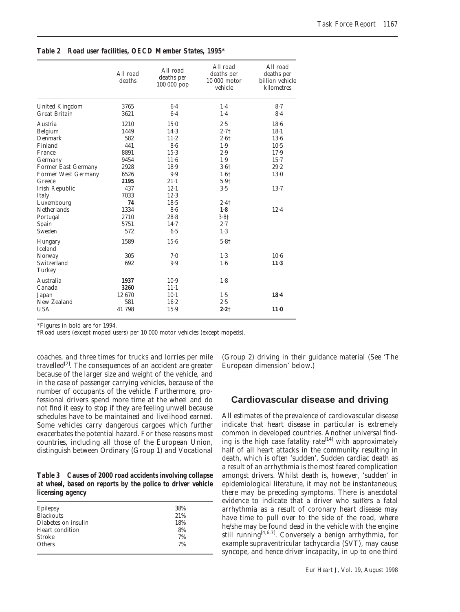|                       | All road<br>deaths | All road<br>deaths per<br>100 000 pop | All road<br>deaths per<br>$10000$ motor<br>vehicle | All road<br>deaths per<br>billion vehicle<br>kilometres |
|-----------------------|--------------------|---------------------------------------|----------------------------------------------------|---------------------------------------------------------|
| <b>United Kingdom</b> | 3765               | 6.4                                   | 1.4                                                | 8.7                                                     |
| <b>Great Britain</b>  | 3621               | 6.4                                   | 1.4                                                | 8.4                                                     |
| Austria               | 1210               | $15-0$                                | 2.5                                                | $18-6$                                                  |
| <b>Belgium</b>        | 1449               | 14.3                                  | $2.7$ <sup>+</sup>                                 | $18-1$                                                  |
| Denmark               | 582                | $11-2$                                | 2.61                                               | $13-6$                                                  |
| Finland               | 441                | 8.6                                   | 1.9                                                | $10-5$                                                  |
| France                | 8891               | $15-3$                                | 2.9                                                | 17.9                                                    |
| Germany               | 9454               | $11-6$                                | 1.9                                                | 15.7                                                    |
| Former East Germany   | 2928               | 18.9                                  | 3.6 <sub>†</sub>                                   | 29.2                                                    |
| Former West Germany   | 6526               | 9.9                                   | 1.6 <sup>†</sup>                                   | $13-0$                                                  |
| Greece                | 2195               | $21 - 1$                              | 5.9 <sub>†</sub>                                   |                                                         |
| <b>Irish Republic</b> | 437                | 12.1                                  | 3.5                                                | 13.7                                                    |
| Italy                 | 7033               | 12.3                                  |                                                    |                                                         |
| Luxembourg            | 74                 | 18.5                                  | $2.4$ †                                            |                                                         |
| <b>Netherlands</b>    | 1334               | 8.6                                   | $1-8$                                              | 12.4                                                    |
| Portugal              | 2710               | 28.8                                  | $3.8^{+}$                                          |                                                         |
| Spain                 | 5751               | 14.7                                  | 2.7                                                |                                                         |
| Sweden                | 572                | 6.5                                   | $1-3$                                              |                                                         |
| Hungary<br>Iceland    | 1589               | 15.6                                  | $5.8$ <sup>+</sup>                                 |                                                         |
| Norway                | 305                | 7.0                                   | $1-3$                                              | $10-6$                                                  |
| Switzerland<br>Turkey | 692                | 9.9                                   | 1·6                                                | $11-3$                                                  |
| Australia             | 1937               | 10.9                                  | 1.8                                                |                                                         |
| Canada                | 3260               | $11-1$                                |                                                    |                                                         |
| Japan                 | 12670              | $10-1$                                | 1.5                                                | 18.4                                                    |
| New Zealand           | 581                | $16-2$                                | 2.5                                                |                                                         |
| <b>USA</b>            | 41 798             | 15.9                                  | $2.2$ †                                            | $11-0$                                                  |

*Table 2 Road user facilities, OECD Member States, 1995\**

\*Figures in bold are for 1994.

†Road users (except moped users) per 10 000 motor vehicles (except mopeds).

coaches, and three times for trucks and lorries per mile travelled<sup>[2]</sup>. The consequences of an accident are greater because of the larger size and weight of the vehicle, and in the case of passenger carrying vehicles, because of the number of occupants of the vehicle. Furthermore, professional drivers spend more time at the wheel and do not find it easy to stop if they are feeling unwell because schedules have to be maintained and livelihood earned. Some vehicles carry dangerous cargoes which further exacerbates the potential hazard. For these reasons most countries, including all those of the European Union, distinguish between Ordinary (Group 1) and Vocational

*Table 3 Causes of 2000 road accidents involving collapse at wheel, based on reports by the police to driver vehicle licensing agency*

| Epilepsy               | 38% |
|------------------------|-----|
| <b>Blackouts</b>       | 21% |
| Diabetes on insulin    | 18% |
| <b>Heart condition</b> | 8%  |
| Stroke                 | 7%  |
| Others                 | 7%  |
|                        |     |

(Group 2) driving in their guidance material (See 'The European dimension' below.)

# **Cardiovascular disease and driving**

All estimates of the prevalence of cardiovascular disease indicate that heart disease in particular is extremely common in developed countries. Another universal finding is the high case fatality rate<sup>[14]</sup> with approximately half of all heart attacks in the community resulting in death, which is often 'sudden'. Sudden cardiac death as a result of an arrhythmia is the most feared complication amongst drivers. Whilst death is, however, 'sudden' in epidemiological literature, it may not be instantaneous; there may be preceding symptoms. There is anecdotal evidence to indicate that a driver who suffers a fatal arrhythmia as a result of coronary heart disease may have time to pull over to the side of the road, where he/she may be found dead in the vehicle with the engine still running<sup>[4,6,7]</sup>. Conversely a benign arrhythmia, for example supraventricular tachycardia (SVT), may cause syncope, and hence driver incapacity, in up to one third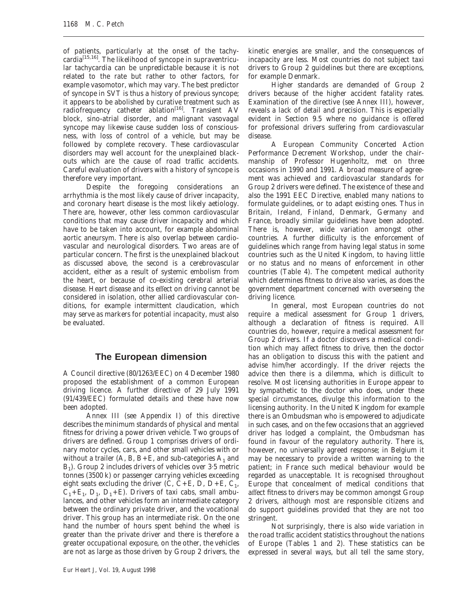of patients, particularly at the onset of the tachy $cardia^{[15,16]}$ . The likelihood of syncope in supraventricular tachycardia can be unpredictable because it is not related to the rate but rather to other factors, for example vasomotor, which may vary. The best predictor of syncope in SVT is thus a history of previous syncope; it appears to be abolished by curative treatment such as radiofrequency catheter  $abla^{[16]}$ . Transient AV block, sino-atrial disorder, and malignant vasovagal syncope may likewise cause sudden loss of consciousness, with loss of control of a vehicle, but may be followed by complete recovery. These cardiovascular disorders may well account for the unexplained blackouts which are the cause of road traffic accidents. Careful evaluation of drivers with a history of syncope is therefore very important.

Despite the foregoing considerations an arrhythmia is the most likely cause of driver incapacity, and coronary heart disease is the most likely aetiology. There are, however, other less common cardiovascular conditions that may cause driver incapacity and which have to be taken into account, for example abdominal aortic aneursym. There is also overlap between cardiovascular and neurological disorders. Two areas are of particular concern. The first is the unexplained blackout as discussed above, the second is a cerebrovascular accident, either as a result of systemic embolism from the heart, or because of co-existing cerebral arterial disease. Heart disease and its effect on driving cannot be considered in isolation, other allied cardiovascular conditions, for example intermittent claudication, which may serve as markers for potential incapacity, must also be evaluated.

# **The European dimension**

A Council directive (80/1263/EEC) on 4 December 1980 proposed the establishment of a common European driving licence. A further directive of 29 July 1991 (91/439/EEC) formulated details and these have now been adopted.

Annex III (see Appendix I) of this directive describes the minimum standards of physical and mental fitness for driving a power driven vehicle. Two groups of drivers are defined. Group 1 comprises drivers of ordinary motor cycles, cars, and other small vehicles with or without a trailer  $(A, B, B+E, and sub-categories A<sub>1</sub> and$ B1). Group 2 includes drivers of vehicles over 3·5 metric tonnes (3500 k) or passenger carrying vehicles exceeding eight seats excluding the driver (C, C+E, D, D+E,  $C_1$ ,  $C_1+E_1$ ,  $D_1$ ,  $D_1+E$ ). Drivers of taxi cabs, small ambulances, and other vehicles form an intermediate category between the ordinary private driver, and the vocational driver. This group has an intermediate risk. On the one hand the number of hours spent behind the wheel is greater than the private driver and there is therefore a greater occupational exposure, on the other, the vehicles are not as large as those driven by Group 2 drivers, the

kinetic energies are smaller, and the consequences of incapacity are less. Most countries do not subject taxi drivers to Group 2 guidelines but there are exceptions, for example Denmark.

Higher standards are demanded of Group 2 drivers because of the higher accident fatality rates. Examination of the directive (see Annex III), however, reveals a lack of detail and precision. This is especially evident in Section 9.5 where no guidance is offered for professional drivers suffering from cardiovascular disease.

A European Community Concerted Action Performance Decrement Workshop, under the chairmanship of Professor Hugenholtz, met on three occasions in 1990 and 1991. A broad measure of agreement was achieved and cardiovascular standards for Group 2 drivers were defined. The existence of these and also the 1991 EEC Directive, enabled many nations to formulate guidelines, or to adapt existing ones. Thus in Britain, Ireland, Finland, Denmark, Germany and France, broadly similar guidelines have been adopted. There is, however, wide variation amongst other countries. A further difficulty is the enforcement of guidelines which range from having legal status in some countries such as the United Kingdom, to having little or no status and no means of enforcement in other countries (Table 4). The competent medical authority which determines fitness to drive also varies, as does the government department concerned with overseeing the driving licence.

In general, most European countries do not require a medical assessment for Group 1 drivers, although a declaration of fitness is required. All countries do, however, require a medical assessment for Group 2 drivers. If a doctor discovers a medical condition which may affect fitness to drive, then the doctor has an obligation to discuss this with the patient and advise him/her accordingly. If the driver rejects the advice then there is a dilemma, which is difficult to resolve. Most licensing authorities in Europe appear to by sympathetic to the doctor who does, under these special circumstances, divulge this information to the licensing authority. In the United Kingdom for example there is an Ombudsman who is empowered to adjudicate in such cases, and on the few occasions that an aggrieved driver has lodged a complaint, the Ombudsman has found in favour of the regulatory authority. There is, however, no universally agreed response; in Belgium it may be necessary to provide a written warning to the patient; in France such medical behaviour would be regarded as unacceptable. It is recognised throughout Europe that concealment of medical conditions that affect fitness to drivers may be common amongst Group 2 drivers, although most are responsible citizens and do support guidelines provided that they are not too stringent.

Not surprisingly, there is also wide variation in the road traffic accident statistics throughout the nations of Europe (Tables 1 and 2). These statistics can be expressed in several ways, but all tell the same story,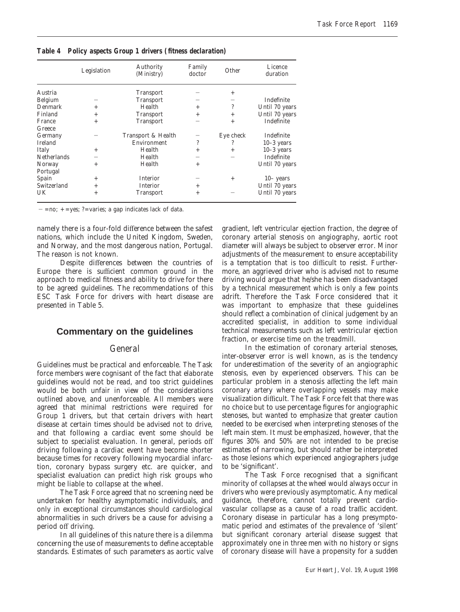|                    | Legislation | Authority<br>(Ministry) | Family<br>doctor | Other     | Licence<br>duration |
|--------------------|-------------|-------------------------|------------------|-----------|---------------------|
| Austria            |             | <b>Transport</b>        |                  | $^{+}$    |                     |
| Belgium            |             | <b>Transport</b>        |                  |           | Indefinite          |
| Denmark            | $^{+}$      | Health                  | $^{+}$           | ?         | Until 70 years      |
| Finland            | $+$         | <b>Transport</b>        | $^{+}$           | $+$       | Until 70 years      |
| France             | $+$         | <b>Transport</b>        |                  | $+$       | Indefinite          |
| Greece             |             |                         |                  |           |                     |
| Germany            |             | Transport & Health      |                  | Eye check | Indefinite          |
| Ireland            |             | Environment             | ?                |           | $10-3$ years        |
| Italy              | $^{+}$      | Health                  | $^{+}$           | $+$       | $10-3$ years        |
| <b>Netherlands</b> |             | Health                  |                  |           | Indefinite          |
| Norway             | $+$         | Health                  | $^{+}$           |           | Until 70 years      |
| Portugal           |             |                         |                  |           |                     |
| Spain              | $^{+}$      | <b>Interior</b>         |                  | $^{+}$    | $10 - \text{years}$ |
| Switzerland        | $+$         | <b>Interior</b>         | $^{+}$           |           | Until 70 years      |
| UK                 | $^{+}$      | Transport               | $^{+}$           |           | Until 70 years      |

*Table 4 Policy aspects Group 1 drivers (fitness declaration)*

 $=$  = no;  $+$  = yes; ? = varies; a gap indicates lack of data.

namely there is a four-fold difference between the safest nations, which include the United Kingdom, Sweden, and Norway, and the most dangerous nation, Portugal. The reason is not known.

Despite differences between the countries of Europe there is sufficient common ground in the approach to medical fitness and ability to drive for there to be agreed guidelines. The recommendations of this ESC Task Force for drivers with heart disease are presented in Table 5.

# **Commentary on the guidelines**

# *General*

Guidelines must be practical and enforceable. The Task force members were cognisant of the fact that elaborate guidelines would not be read, and too strict guidelines would be both unfair in view of the considerations outlined above, and unenforceable. All members were agreed that minimal restrictions were required for Group 1 drivers, but that certain drivers with heart disease at certain times should be advised not to drive, and that following a cardiac event some should be subject to specialist evaluation. In general, periods off driving following a cardiac event have become shorter because times for recovery following myocardial infarction, coronary bypass surgery etc. are quicker, and specialist evaluation can predict high risk groups who might be liable to collapse at the wheel.

The Task Force agreed that no screening need be undertaken for healthy asymptomatic individuals, and only in exceptional circumstances should cardiological abnormalities in such drivers be a cause for advising a period off driving.

In all guidelines of this nature there is a dilemma concerning the use of measurements to define acceptable standards. Estimates of such parameters as aortic valve

gradient, left ventricular ejection fraction, the degree of coronary arterial stenosis on angiography, aortic root diameter will always be subject to observer error. Minor adjustments of the measurement to ensure acceptability is a temptation that is too difficult to resist. Furthermore, an aggrieved driver who is advised not to resume driving would argue that he/she has been disadvantaged by a technical measurement which is only a few points adrift. Therefore the Task Force considered that it was important to emphasize that these guidelines should reflect a combination of clinical judgement by an accredited specialist, in addition to some individual technical measurements such as left ventricular ejection fraction, or exercise time on the treadmill.

In the estimation of coronary arterial stenoses, inter-observer error is well known, as is the tendency for underestimation of the severity of an angiographic stenosis, even by experienced observers. This can be particular problem in a stenosis affecting the left main coronary artery where overlapping vessels may make visualization difficult. The Task Force felt that there was no choice but to use percentage figures for angiographic stenoses, but wanted to emphasize that greater caution needed to be exercised when interpreting stenoses of the left main stem. It must be emphasized, however, that the figures 30% and 50% are not intended to be precise estimates of narrowing, but should rather be interpreted as those lesions which experienced angiographers judge to be 'significant'.

The Task Force recognised that a significant minority of collapses at the wheel would always occur in drivers who were previously asymptomatic. Any medical guidance, therefore, cannot totally prevent cardiovascular collapse as a cause of a road traffic accident. Coronary disease in particular has a long presymptomatic period and estimates of the prevalence of 'silent' but significant coronary arterial disease suggest that approximately one in three men with no history or signs of coronary disease will have a propensity for a sudden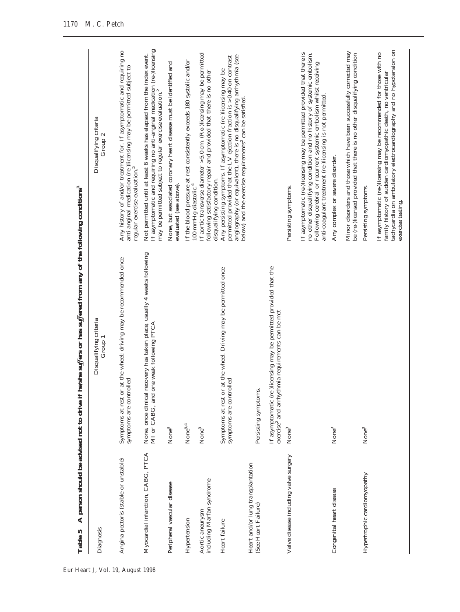| A person should be advised not to drive if<br>Table 5    | he/she suffers or has suffered from any of the following conditions <sup>1</sup>                                         |                                                                                                                                                                                                                                                                                                                       |
|----------------------------------------------------------|--------------------------------------------------------------------------------------------------------------------------|-----------------------------------------------------------------------------------------------------------------------------------------------------------------------------------------------------------------------------------------------------------------------------------------------------------------------|
| Diagnosis                                                | Disqualifying criteria<br>Group 1                                                                                        | Disqualifying criteria<br>Group <sub>2</sub>                                                                                                                                                                                                                                                                          |
| Angina pectoris (stable or unstable)                     | Symptoms at rest or at the wheel; driving may be recommended once<br>symptoms are controlled                             | Any history of and/or treatment for. If asymptomatic and requiring no<br>anti-anginal medication (re-)licensing may be permitted subject to<br>regular exercise evaluation. <sup>2</sup>                                                                                                                              |
| Myocardial infarction, CABG, PTCA                        | recovery has taken place, usually 4 weeks following<br>one week following PTCA<br>None, once clinical<br>MI or CABG, and | If asymptomatic and requiring no anti-anginal medication (re-)licensing<br>Not permitted until at least 6 weeks has elapsed from the index event.<br>may be permitted subject to regular exercise evaluation. <sup>2</sup>                                                                                            |
| Peripheral vascular disease                              | None <sup>3</sup>                                                                                                        | None, but associated coronary heart disease must be identified and<br>evaluated (see above).                                                                                                                                                                                                                          |
| Hypertension                                             | $\mathbf{None}^{3,4}$                                                                                                    | If the blood pressure at rest consistently exceeds 180 systolic and/or                                                                                                                                                                                                                                                |
| including Marfan syndrome<br>Aortic aneurysm             | $\mbox{None}^3$                                                                                                          | If aortic transverse diameter >5.0 cm. (Re-)licensing may be permitted<br>following satisfactory repair and provided that there is no other<br>disqualifying condition.<br>100 mmHg diastolic. <sup>4</sup>                                                                                                           |
| Heart failure                                            | Symptoms at rest or at the wheel. Driving may be permitted once<br>symptoms are controlled                               | angiography (or equivalent), there is no disqualifying arrhythmia (see<br>permitted provided that the LV ejection fraction is $>0.40$ on contrast<br>Any persisting symptoms. If asymptomatic (re-)licensing may be<br>below) and the exercise requirements <sup>2</sup> can be satisfied.                            |
| Heart and/or lung transplantation<br>(See Heart Failure) | Persisting symptoms.                                                                                                     |                                                                                                                                                                                                                                                                                                                       |
|                                                          | If asymptomatic (re-)licensing may be permitted provided that the exercise $\!^2$ and arrhythmia requirements can be met |                                                                                                                                                                                                                                                                                                                       |
| Valve disease including valve surgery                    | None <sup>3</sup>                                                                                                        | Persisting symptoms.                                                                                                                                                                                                                                                                                                  |
| Congenital heart disease                                 | None <sup>3</sup>                                                                                                        | If asymptomatic (re-)licensing may be permitted provided that there is<br>no other disqualifying condition and no history of systemic embolism.<br>Following cerebral or recurrent systemic embolism whilst receiving<br>anti-coagulant treatment (re-)licensing is not permitted.<br>Any complex or severe disorder. |
| Hypertrophic cardiomyopathy                              | None <sup>3</sup>                                                                                                        | Minor disorders and those which have been successfully corrected may<br>be (re-)licensed provided that there is no other disqualifying condition<br>Persisting symptoms.                                                                                                                                              |
|                                                          |                                                                                                                          | tachycardia on ambulatory electrocardiography and no hypotension on<br>If asymptomatic (re-)licensing may be recommended for those with no<br>family history of sudden cardiomyopathic death, no ventricular<br>exercise testing.                                                                                     |

*1170 M. C. Petch*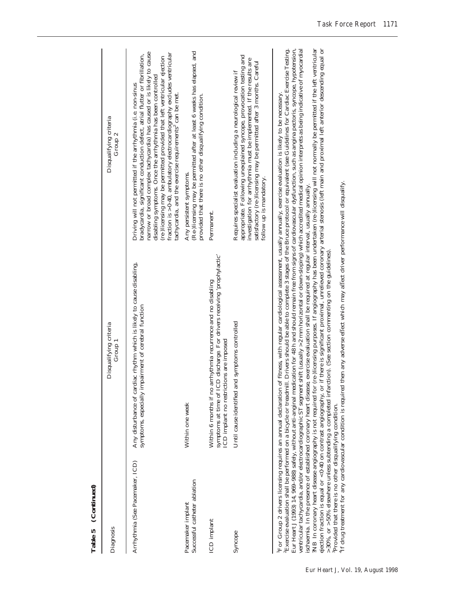| Table 5 (Continued)                                                                                                                                                                                 |                                                                                                                                                                                                                                                                                                                                                                                                                                                                                                                                                                                                                                                                                                                                                                                                                                                                                                                                                                                                                                                                                                                                                       |                                                                                                                                                                                                                                                                                                                                                                                                                                                                                                                    |
|-----------------------------------------------------------------------------------------------------------------------------------------------------------------------------------------------------|-------------------------------------------------------------------------------------------------------------------------------------------------------------------------------------------------------------------------------------------------------------------------------------------------------------------------------------------------------------------------------------------------------------------------------------------------------------------------------------------------------------------------------------------------------------------------------------------------------------------------------------------------------------------------------------------------------------------------------------------------------------------------------------------------------------------------------------------------------------------------------------------------------------------------------------------------------------------------------------------------------------------------------------------------------------------------------------------------------------------------------------------------------|--------------------------------------------------------------------------------------------------------------------------------------------------------------------------------------------------------------------------------------------------------------------------------------------------------------------------------------------------------------------------------------------------------------------------------------------------------------------------------------------------------------------|
| Diagnosis                                                                                                                                                                                           | Disqualifying criteria<br>Group 1                                                                                                                                                                                                                                                                                                                                                                                                                                                                                                                                                                                                                                                                                                                                                                                                                                                                                                                                                                                                                                                                                                                     | Disqualifying criteria<br>Group <sub>2</sub>                                                                                                                                                                                                                                                                                                                                                                                                                                                                       |
| Arrhythmia (See Pacemaker, ICD)                                                                                                                                                                     | cardiac rhythm which is likely to cause disabling,<br>symptoms, especially impairment of cerebral function<br>Any disturbance of                                                                                                                                                                                                                                                                                                                                                                                                                                                                                                                                                                                                                                                                                                                                                                                                                                                                                                                                                                                                                      | narrow or broad complex tachycardia) has caused or is likely to cause<br>fraction is $>0.40$ , ambulatory electrocardiography excludes ventricular<br>tachycardia, and the exercise requirements <sup>2</sup> can be met.<br>bradycardia, significant conduction defect, atrial flutter or fibrillation,<br>(re-)licensing may be permitted provided that left ventricular ejection<br>disabling symptoms. Once the arrhythmia has been controlled<br>Driving will not permitted if the arrhythmia (i.e. non-sinus |
| Successful catheter ablation<br>Pacemaker implant                                                                                                                                                   | Within one week                                                                                                                                                                                                                                                                                                                                                                                                                                                                                                                                                                                                                                                                                                                                                                                                                                                                                                                                                                                                                                                                                                                                       | (Re-)licensing may be permitted after at least 6 weeks has elapsed, and<br>provided that there is no other disqualifying condition.<br>Any persistent symptoms.                                                                                                                                                                                                                                                                                                                                                    |
| ICD implant                                                                                                                                                                                         | symptoms at time of ICD discharge. For drivers receiving 'prophylactic'<br>Within 6 months if no arrhythmia recurrence and no disabling<br>ICD implant no restrictions are imposed                                                                                                                                                                                                                                                                                                                                                                                                                                                                                                                                                                                                                                                                                                                                                                                                                                                                                                                                                                    | Permanent.                                                                                                                                                                                                                                                                                                                                                                                                                                                                                                         |
| Syncope                                                                                                                                                                                             | Until cause identified and symptoms controlled                                                                                                                                                                                                                                                                                                                                                                                                                                                                                                                                                                                                                                                                                                                                                                                                                                                                                                                                                                                                                                                                                                        | appropriate. Following unexplained syncope, provocation testing and<br>investigation for arrhythmia must be implemented. If the results are<br>satisfactory (re-)licensing may be permitted after 3 months. Careful<br>Requires specialist evaluation including a neurological review if<br>follow up is mandatory.                                                                                                                                                                                                |
| For Group 2 drivers licensing requires an annual declarati<br>Eur Heart J (1993) 14, 969-988) safely, without anti-anginal<br><sup>3</sup> Provided that there is no other disqualifying condition. | ventricular tachycardia, and/or electrocardiographic ST segment shift (usually >2 mm horizontal or down-sloping) which accredited medical opinion interprets as being indicative of myocardial<br>?NB In coronary heart disease angiography is not required for (re-)licensing purposes. If angiography has been undertaken (re-)licensing will not normally be permitted if the left ventricular<br>ejection fraction is equal or <0.40 on contrast angiography, or if there is significant proximal, unrelieved coronary arterial stenosis (left main and proximal left anterior descending equal or >30% elsewhere unless subten<br>"Exercise evaluation shall be performed on a bicycle or treadmill. Drivers should be able to complete 3 stages of the Bruce protocol or equivalent (see Guidelines for Cardiac Exercise Testing,<br><sup>1</sup> If drug treatment for any cardiovascular condition is required then any adverse effect which may affect driver performance will disqualify.<br>ischaemia. In the presence of established coronary heart disease, exercise evaluation shall be required at regular interval, usually annually. | medication for 48 h and should remain free from signs of cardiovascular dysfunction, such as angina pectoris, syncope, hypotension,<br>on of fitness, with regular cardiological assessment, usually annually, exercise evaluation is likely to be necessary.                                                                                                                                                                                                                                                      |

*Task Force Report 1171*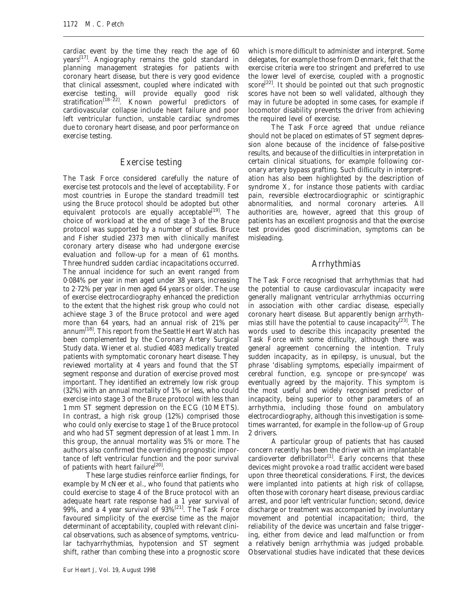cardiac event by the time they reach the age of 60 years[17]. Angiography remains the gold standard in planning management strategies for patients with coronary heart disease, but there is very good evidence that clinical assessment, coupled where indicated with exercise testing, will provide equally good risk stratification<sup>[18–22]</sup>. Known powerful predictors of cardiovascular collapse include heart failure and poor left ventricular function, unstable cardiac syndromes due to coronary heart disease, and poor performance on exercise testing.

# *Exercise testing*

The Task Force considered carefully the nature of exercise test protocols and the level of acceptability. For most countries in Europe the standard treadmill test using the Bruce protocol should be adopted but other equivalent protocols are equally acceptable<sup>[19]</sup>. The choice of workload at the end of stage 3 of the Bruce protocol was supported by a number of studies. Bruce and Fisher studied 2373 men with clinically manifest coronary artery disease who had undergone exercise evaluation and follow-up for a mean of 61 months. Three hundred sudden cardiac incapacitations occurred. The annual incidence for such an event ranged from 0·084% per year in men aged under 38 years, increasing to 2·72% per year in men aged 64 years or older. The use of exercise electrocardiography enhanced the prediction to the extent that the highest risk group who could not achieve stage 3 of the Bruce protocol and were aged more than 64 years, had an annual risk of 21% per annum<sup>[18]</sup>. This report from the Seattle Heart Watch has been complemented by the Coronary Artery Surgical Study data. Wiener *et al*. studied 4083 medically treated patients with symptomatic coronary heart disease. They reviewed mortality at 4 years and found that the ST segment response and duration of exercise proved most important. They identified an extremely low risk group (32%) with an annual mortality of 1% or less, who could exercise into stage 3 of the Bruce protocol with less than 1 mm ST segment depression on the ECG (10 METS). In contrast, a high risk group (12%) comprised those who could only exercise to stage 1 of the Bruce protocol and who had ST segment depression of at least 1 mm. In this group, the annual mortality was 5% or more. The authors also confirmed the overriding prognostic importance of left ventricular function and the poor survival of patients with heart failure<sup>[20]</sup>.

These large studies reinforce earlier findings, for example by McNeer *et al*., who found that patients who could exercise to stage 4 of the Bruce protocol with an adequate heart rate response had a 1 year survival of 99%, and a 4 year survival of  $93\%^{[21]}$ . The Task Force favoured simplicity of the exercise time as the major determinant of acceptability, coupled with relevant clinical observations, such as absence of symptoms, ventricular tachyarrhythmias, hypotension and ST segment shift, rather than combing these into a prognostic score

which is more difficult to administer and interpret. Some delegates, for example those from Denmark, felt that the exercise criteria were too stringent and preferred to use the lower level of exercise, coupled with a prognostic score<sup>[22]</sup>. It should be pointed out that such prognostic scores have not been so well validated, although they may in future be adopted in some cases, for example if locomotor disability prevents the driver from achieving the required level of exercise.

The Task Force agreed that undue reliance should not be placed on estimates of ST segment depression alone because of the incidence of false-positive results, and because of the difficulties in interpretation in certain clinical situations, for example following coronary artery bypass grafting. Such difficulty in interpretation has also been highlighted by the description of syndrome X, for instance those patients with cardiac pain, reversible electrocardiographic or scintigraphic abnormalities, and normal coronary arteries. All authorities are, however, agreed that this group of patients has an excellent prognosis and that the exercise test provides good discrimination, symptoms can be misleading.

# *Arrhythmias*

The Task Force recognised that arrhythmias that had the potential to cause cardiovascular incapacity were generally malignant ventricular arrhythmias occurring in association with other cardiac disease, especially coronary heart disease. But apparently benign arrhythmias still have the potential to cause incapacity<sup>[23]</sup>. The words used to describe this incapacity presented the Task Force with some difficulty, although there was general agreement concerning the intention. Truly sudden incapacity, as in epilepsy, is unusual, but the phrase 'disabling symptoms, especially impairment of cerebral function, e.g. syncope or pre-syncope' was eventually agreed by the majority. This symptom is the most useful and widely recognised predictor of incapacity, being superior to other parameters of an arrhythmia, including those found on ambulatory electrocardiography, although this investigation is sometimes warranted, for example in the follow-up of Group 2 drivers.

A particular group of patients that has caused concern recently has been the driver with an implantable cardioverter defibrillator<sup>[1]</sup>. Early concerns that these devices might provoke a road traffic accident were based upon three theoretical considerations. First, the devices were implanted into patients at high risk of collapse, often those with coronary heart disease, previous cardiac arrest, and poor left ventricular function; second, device discharge or treatment was accompanied by involuntary movement and potential incapacitation; third, the reliability of the device was uncertain and false triggering, either from device and lead malfunction or from a relatively benign arrhythmia was judged probable. Observational studies have indicated that these devices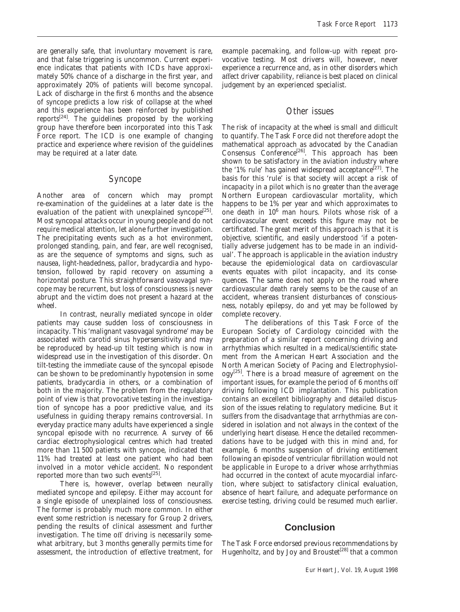are generally safe, that involuntary movement is rare, and that false triggering is uncommon. Current experience indicates that patients with ICDs have approximately 50% chance of a discharge in the first year, and approximately 20% of patients will become syncopal. Lack of discharge in the first 6 months and the absence of syncope predicts a low risk of collapse at the wheel and this experience has been reinforced by published reports<sup>[24]</sup>. The guidelines proposed by the working group have therefore been incorporated into this Task Force report. The ICD is one example of changing practice and experience where revision of the guidelines may be required at a later date.

# *Syncope*

Another area of concern which may prompt re-examination of the guidelines at a later date is the evaluation of the patient with unexplained syncope<sup>[25]</sup>. Most syncopal attacks occur in young people and do not require medical attention, let alone further investigation. The precipitating events such as a hot environment, prolonged standing, pain, and fear, are well recognised, as are the sequence of symptoms and signs, such as nausea, light-headedness, pallor, bradycardia and hypotension, followed by rapid recovery on assuming a horizontal posture. This straightforward vasovagal syncope may be recurrent, but loss of consciousness is never abrupt and the victim does not present a hazard at the wheel.

In contrast, neurally mediated syncope in older patients may cause sudden loss of consciousness in incapacity. This 'malignant vasovagal syndrome' may be associated with carotid sinus hypersensitivity and may be reproduced by head-up tilt testing which is now in widespread use in the investigation of this disorder. On tilt-testing the immediate cause of the syncopal episode can be shown to be predominantly hypotension in some patients, bradycardia in others, or a combination of both in the majority. The problem from the regulatory point of view is that provocative testing in the investigation of syncope has a poor predictive value, and its usefulness in guiding therapy remains controversial. In everyday practice many adults have experienced a single syncopal episode with no recurrence. A survey of 66 cardiac electrophysiological centres which had treated more than 11 500 patients with syncope, indicated that 11% had treated at least one patient who had been involved in a motor vehicle accident. No respondent reported more than two such events<sup>[25]</sup>.

There is, however, overlap between neurally mediated syncope and epilepsy. Either may account for a single episode of unexplained loss of consciousness. The former is probably much more common. In either event some restriction is necessary for Group 2 drivers, pending the results of clinical assessment and further investigation. The time off driving is necessarily somewhat arbitrary, but 3 months generally permits time for assessment, the introduction of effective treatment, for

example pacemaking, and follow-up with repeat provocative testing. Most drivers will, however, never experience a recurrence and, as in other disorders which affect driver capability, reliance is best placed on clinical judgement by an experienced specialist.

# *Other issues*

The risk of incapacity at the wheel is small and difficult to quantify. The Task Force did not therefore adopt the mathematical approach as advocated by the Canadian Consensus Conference<sup>[26]</sup>. This approach has been shown to be satisfactory in the aviation industry where the '1% rule' has gained widespread acceptance<sup>[27]</sup>. The basis for this 'rule' is that society will accept a risk of incapacity in a pilot which is no greater than the average Northern European cardiovascular mortality, which happens to be 1% per year and which approximates to one death in 10<sup>6</sup> man hours. Pilots whose risk of a cardiovascular event exceeds this figure may not be certificated. The great merit of this approach is that it is objective, scientific, and easily understood 'if a potentially adverse judgement has to be made in an individual'. The approach is applicable in the aviation industry because the epidemiological data on cardiovascular events equates with pilot incapacity, and its consequences. The same does not apply on the road where cardiovascular death rarely seems to be the cause of an accident, whereas transient disturbances of consciousness, notably epilepsy, do and yet may be followed by complete recovery.

The deliberations of this Task Force of the European Society of Cardiology coincided with the preparation of a similar report concerning driving and arrhythmias which resulted in a medical/scientific statement from the American Heart Association and the North American Society of Pacing and Electrophysiology<sup>[25]</sup>. There is a broad measure of agreement on the important issues, for example the period of 6 months off driving following ICD implantation. This publication contains an excellent bibliography and detailed discussion of the issues relating to regulatory medicine. But it suffers from the disadvantage that arrhythmias are considered in isolation and not always in the context of the underlying heart disease. Hence the detailed recommendations have to be judged with this in mind and, for example, 6 months suspension of driving entitlement following an episode of ventricular fibrillation would not be applicable in Europe to a driver whose arrhythmias had occurred in the context of acute myocardial infarction, where subject to satisfactory clinical evaluation, absence of heart failure, and adequate performance on exercise testing, driving could be resumed much earlier.

# **Conclusion**

The Task Force endorsed previous recommendations by Hugenholtz, and by Joy and Broustet<sup>[28]</sup> that a common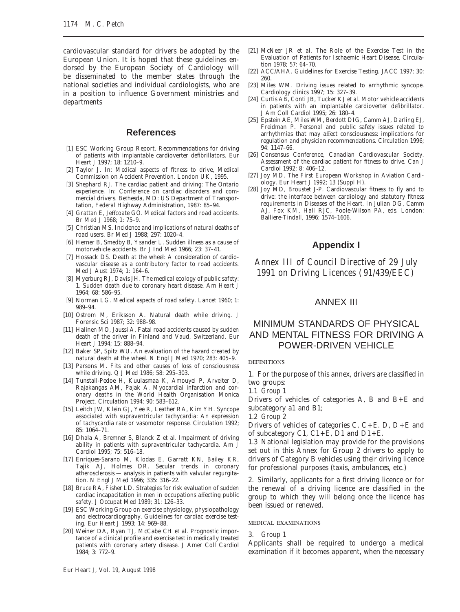cardiovascular standard for drivers be adopted by the European Union. It is hoped that these guidelines endorsed by the European Society of Cardiology will be disseminated to the member states through the national societies and individual cardiologists, who are in a position to influence Government ministries and departments

### **References**

- [1] ESC Working Group Report. Recommendations for driving of patients with implantable cardioverter defibrillators. Eur Heart J 1997; 18: 1210–9.
- [2] Taylor J. In: Medical aspects of fitness to drive, Medical Commission on Accident Prevention. London UK, 1995.
- [3] Shephard RJ. The cardiac patient and driving: The Ontario experience. In: Conference on cardiac disorders and commercial drivers. Bethesda, MD: US Department of Transportation, Federal Highway Administration, 1987: 85–94.
- [4] Grattan E, Jeffcoate GO. Medical factors and road accidents. Br Med J 1968; 1: 75–9.
- [5] Christian MS. Incidence and implications of natural deaths of road users. Br Med J 1988; 297: 1020–4.
- [6] Herner B, Smedby B, Ysander L. Sudden illness as a cause of motorvehicle accidents. Br J Ind Med 1966; 23: 37–41.
- [7] Hossack DS. Death at the wheel: A consideration of cardiovascular disease as a contributory factor to road accidents. Med J Aust 1974; 1: 164–6.
- [8] Myerburg RJ, Davis JH. The medical ecology of public safety: 1. Sudden death due to coronary heart disease. Am Heart J 1964; 68: 586–95.
- [9] Norman LG. Medical aspects of road safety. Lancet 1960; 1: 989–94.
- [10] Ostrom M, Eriksson A. Natural death while driving. J Forensic Sci 1987; 32: 988–98.
- [11] Halinen MO, Jaussi A. Fatal road accidents caused by sudden death of the driver in Finland and Vaud, Switzerland. Eur Heart J 1994; 15: 888–94.
- [12] Baker SP, Spitz WU. An evaluation of the hazard created by natural death at the wheel. N Engl J Med 1970; 283: 405–9.
- [13] Parsons M. Fits and other causes of loss of consciousness while driving. Q J Med 1986; 58: 295–303.
- [14] Tunstall-Pedoe H, Kuulasmaa K, Amouyel P, Arveiter D, Rajakangas AM, Pajak A. Myocardial infarction and coronary deaths in the World Health Organisation Monica Project. Circulation 1994; 90: 583–612.
- [15] Leitch JW, Klein GJ, Yee R, Leather RA, Kim YH. Syncope associated with supraventricular tachycardia: An expression of tachycardia rate or vasomotor response. Circulation 1992; 85: 1064–71.
- [16] Dhala A, Bremner S, Blanck Z *et al*. Impairment of driving ability in patients with supraventricular tachycardia. Am J Cardiol 1995; 75: 516–18.
- [17] Enriques-Sarano M, Klodas E, Garratt KN, Bailey KR, Tajik AJ, Holmes DR. Secular trends in coronary atherosclerosis — analysis in patients with valvular regurgitation. N Engl J Med 1996; 335: 316–22.
- [18] Bruce RA, Fisher LD. Strategies for risk evaluation of sudden cardiac incapacitation in men in occupations affecting public safety. J Occupat Med 1989; 31: 126–33.
- [19] ESC Working Group on exercise physiology, physiopathology and electrocardiography. Guidelines for cardiac exercise testing. Eur Heart J 1993; 14: 969–88.
- [20] Weiner DA, Ryan TJ, McCabe CH *et al*. Prognostic importance of a clinical profile and exercise test in medically treated patients with coronary artery disease. J Amer Coll Cardiol 1984; 3: 772–9.
- [21] McNeer JR *et al*. The Role of the Exercise Test in the Evaluation of Patients for Ischaemic Heart Disease. Circulation 1978; 57: 64–70.
- [22] ACC/AHA. Guidelines for Exercise Testing. JACC 1997; 30: 260.
- [23] Miles WM. Driving issues related to arrhythmic syncope. Cardiology clinics 1997; 15: 327–39.
- [24] Curtis AB, Conti JB, Tucker KJ *et al*. Motor vehicle accidents in patients with an implantable cardioverter defibrillator. J Am Coll Cardiol 1995; 26: 180–4.
- [25] Epstein AE, Miles WM, Berdott DIG, Camm AJ, Darling EJ, Freidman P. Personal and public safety issues related to arrhythmias that may affect consciousness: implications for regulation and physician recommendations. Circulation 1996; 94: 1147–66.
- [26] Consensus Conference, Canadian Cardiovascular Society. Assessment of the cardiac patient for fitness to drive. Can J Cardiol 1992; 8: 406–12.
- [27] Joy MD. The First European Workshop in Aviation Cardiology. Eur Heart J 1992; 13 (Suppl H).
- [28] Joy MD, Broustet J-P. Cardiovascular fitness to fly and to drive: the interface between cardiology and statutory fitness requirements in Diseases of the Heart. In Julian DG, Camm AJ, Fox KM, Hall RJC, Poole-Wilson PA, eds. London: Balliere-Tindall, 1996: 1574–1606.

# **Appendix I**

*Annex III of Council Directive of 29 July 1991 on Driving Licences (91/439/EEC)*

# ANNEX III

# MINIMUM STANDARDS OF PHYSICAL AND MENTAL FITNESS FOR DRIVING A POWER-DRIVEN VEHICLE

### **DEFINITIONS**

1. For the purpose of this annex, drivers are classified in two groups:

1.1 *Group 1*

Drivers of vehicles of categories A, B and B+E and subcategory a1 and B1;

1.2 *Group 2*

Drivers of vehicles of categories C, C+E. D, D+E and of subcategory C1,  $C1 + E$ , D1 and  $D1 + E$ .

1.3 National legislation may provide for the provisions set out in this Annex for Group 2 drivers to apply to drivers of Category B vehicles using their driving licence for professional purposes (taxis, ambulances, etc.)

2. Similarly, applicants for a first driving licence or for the renewal of a driving licence are classified in the group to which they will belong once the licence has been issued or renewed.

#### MEDICAL EXAMINATIONS

#### 3. *Group 1*

Applicants shall be required to undergo a medical examination if it becomes apparent, when the necessary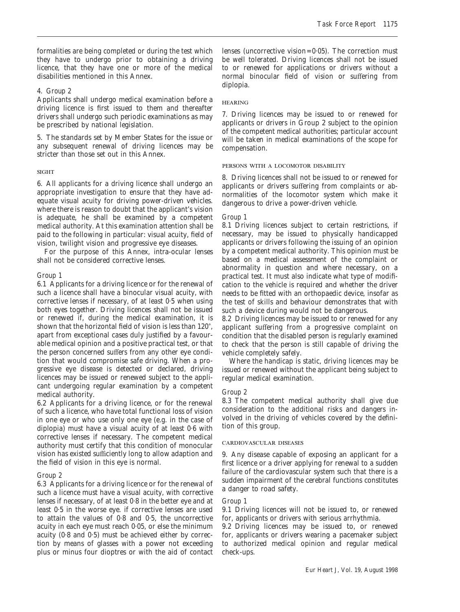formalities are being completed or during the test which they have to undergo prior to obtaining a driving licence, that they have one or more of the medical disabilities mentioned in this Annex.

### 4. *Group 2*

Applicants shall undergo medical examination before a driving licence is first issued to them and thereafter drivers shall undergo such periodic examinations as may be prescribed by national legislation.

5. The standards set by Member States for the issue or any subsequent renewal of driving licences may be stricter than those set out in this Annex.

### **SIGHT**

6. All applicants for a driving licence shall undergo an appropriate investigation to ensure that they have adequate visual acuity for driving power-driven vehicles. where there is reason to doubt that the applicant's vision is adequate, he shall be examined by a competent medical authority. At this examination attention shall be paid to the following in particular: visual acuity, field of vision, twilight vision and progressive eye diseases.

For the purpose of this Annex, intra-ocular lenses shall not be considered corrective lenses.

#### *Group 1*

6.1 Applicants for a driving licence or for the renewal of such a licence shall have a binocular visual acuity, with corrective lenses if necessary, of at least 0·5 when using both eyes together. Driving licences shall not be issued or renewed if, during the medical examination, it is shown that the horizontal field of vision is less than 120°. apart from exceptional cases duly justified by a favourable medical opinion and a positive practical test, or that the person concerned suffers from any other eye condition that would compromise safe driving. When a progressive eye disease is detected or declared, driving licences may be issued or renewed subject to the applicant undergoing regular examination by a competent medical authority.

6.2 Applicants for a driving licence, or for the renewal of such a licence, who have total functional loss of vision in one eye or who use only one eye (e.g. in the case of diplopia) must have a visual acuity of at least 0·6 with corrective lenses if necessary. The competent medical authority must certify that this condition of monocular vision has existed sufficiently long to allow adaption and the field of vision in this eye is normal.

#### *Group 2*

6.3 Applicants for a driving licence or for the renewal of such a licence must have a visual acuity, with corrective lenses if necessary, of at least 0·8 in the better eye and at least 0·5 in the worse eye. if corrective lenses are used to attain the values of 0·8 and 0·5, the uncorrective acuity in each eye must reach 0·05, or else the minimum acuity (0·8 and 0·5) must be achieved either by correction by means of glasses with a power not exceeding plus or minus four dioptres or with the aid of contact lenses (uncorrective vision=0·05). The correction must be well tolerated. Driving licences shall not be issued to or renewed for applications or drivers without a normal binocular field of vision or suffering from diplopia.

### **HEARING**

7. Driving licences may be issued to or renewed for applicants or drivers in Group 2 subject to the opinion of the competent medical authorities; particular account will be taken in medical examinations of the scope for compensation.

### PERSONS WITH A LOCOMOTOR DISABILITY

8. Driving licences shall not be issued to or renewed for applicants or drivers suffering from complaints or abnormalities of the locomotor system which make it dangerous to drive a power-driven vehicle.

### *Group 1*

8.1 Driving licences subject to certain restrictions, if necessary, may be issued to physically handicapped applicants or drivers following the issuing of an opinion by a competent medical authority. This opinion must be based on a medical assessment of the complaint or abnormality in question and where necessary, on a practical test. It must also indicate what type of modification to the vehicle is required and whether the driver needs to be fitted with an orthopaedic device, insofar as the test of skills and behaviour demonstrates that with such a device during would not be dangerous.

8.2 Driving licences may be issued to or renewed for any applicant suffering from a progressive complaint on condition that the disabled person is regularly examined to check that the person is still capable of driving the vehicle completely safely.

Where the handicap is static, driving licences may be issued or renewed without the applicant being subject to regular medical examination.

#### *Group 2*

8.3 The competent medical authority shall give due consideration to the additional risks and dangers involved in the driving of vehicles covered by the definition of this group.

#### CARDIOVASCULAR DISEASES

9. Any disease capable of exposing an applicant for a first licence or a driver applying for renewal to a sudden failure of the cardiovascular system such that there is a sudden impairment of the cerebral functions constitutes a danger to road safety.

#### *Group 1*

9.1 Driving licences will not be issued to, or renewed for, applicants or drivers with serious arrhythmia.

9.2 Driving licences may be issued to, or renewed for, applicants or drivers wearing a pacemaker subject to authorized medical opinion and regular medical check-ups.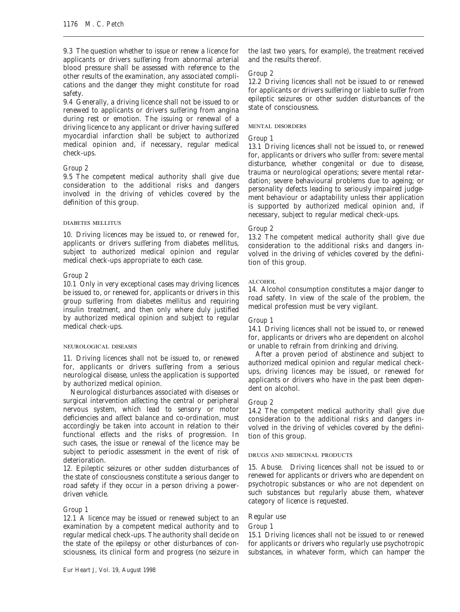9.3 The question whether to issue or renew a licence for applicants or drivers suffering from abnormal arterial blood pressure shall be assessed with reference to the other results of the examination, any associated complications and the danger they might constitute for road safety.

9.4 Generally, a driving licence shall not be issued to or renewed to applicants or drivers suffering from angina during rest or emotion. The issuing or renewal of a driving licence to any applicant or driver having suffered myocardial infarction shall be subject to authorized medical opinion and, if necessary, regular medical check-ups.

### *Group 2*

9.5 The competent medical authority shall give due consideration to the additional risks and dangers involved in the driving of vehicles covered by the definition of this group.

### DIABETES MELLITUS

10. Driving licences may be issued to, or renewed for, applicants or drivers suffering from diabetes mellitus, subject to authorized medical opinion and regular medical check-ups appropriate to each case.

### *Group 2*

10.1 Only in very exceptional cases may driving licences be issued to, or renewed for, applicants or drivers in this group suffering from diabetes mellitus and requiring insulin treatment, and then only where duly justified by authorized medical opinion and subject to regular medical check-ups.

### NEUROLOGICAL DISEASES

11. Driving licences shall not be issued to, or renewed for, applicants or drivers suffering from a serious neurological disease, unless the application is supported by authorized medical opinion.

Neurological disturbances associated with diseases or surgical intervention affecting the central or peripheral nervous system, which lead to sensory or motor deficiencies and affect balance and co-ordination, must accordingly be taken into account in relation to their functional effects and the risks of progression. In such cases, the issue or renewal of the licence may be subject to periodic assessment in the event of risk of deterioration.

12. Epileptic seizures or other sudden disturbances of the state of consciousness constitute a serious danger to road safety if they occur in a person driving a powerdriven vehicle.

# *Group 1*

12.1 A licence may be issued or renewed subject to an examination by a competent medical authority and to regular medical check-ups. The authority shall decide on the state of the epilepsy or other disturbances of consciousness, its clinical form and progress (no seizure in the last two years, for example), the treatment received and the results thereof.

## *Group 2*

12.2 Driving licences shall not be issued to or renewed for applicants or drivers suffering or liable to suffer from epileptic seizures or other sudden disturbances of the state of consciousness.

### **MENTAL DISORDERS**

## *Group 1*

13.1 Driving licences shall not be issued to, or renewed for, applicants or drivers who suffer from: severe mental disturbance, whether congenital or due to disease, trauma or neurological operations; severe mental retardation; severe behavioural problems due to ageing; or personality defects leading to seriously impaired judgement behaviour or adaptability unless their application is supported by authorized medical opinion and, if necessary, subject to regular medical check-ups.

# *Group 2*

13.2 The competent medical authority shall give due consideration to the additional risks and dangers involved in the driving of vehicles covered by the definition of this group.

# **ALCOHOL**

14. Alcohol consumption constitutes a major danger to road safety. In view of the scale of the problem, the medical profession must be very vigilant.

# *Group 1*

14.1 Driving licences shall not be issued to, or renewed for, applicants or drivers who are dependent on alcohol or unable to refrain from drinking and driving.

After a proven period of abstinence and subject to authorized medical opinion and regular medical checkups, driving licences may be issued, or renewed for applicants or drivers who have in the past been dependent on alcohol.

# *Group 2*

14.2 The competent medical authority shall give due consideration to the additional risks and dangers involved in the driving of vehicles covered by the definition of this group.

### DRUGS AND MEDICINAL PRODUCTS

15. Abuse. Driving licences shall not be issued to or renewed for applicants or drivers who are dependent on psychotropic substances or who are not dependent on such substances but regularly abuse them, whatever category of licence is requested.

# Regular use

## *Group 1*

15.1 Driving licences shall not be issued to or renewed for applicants or drivers who regularly use psychotropic substances, in whatever form, which can hamper the